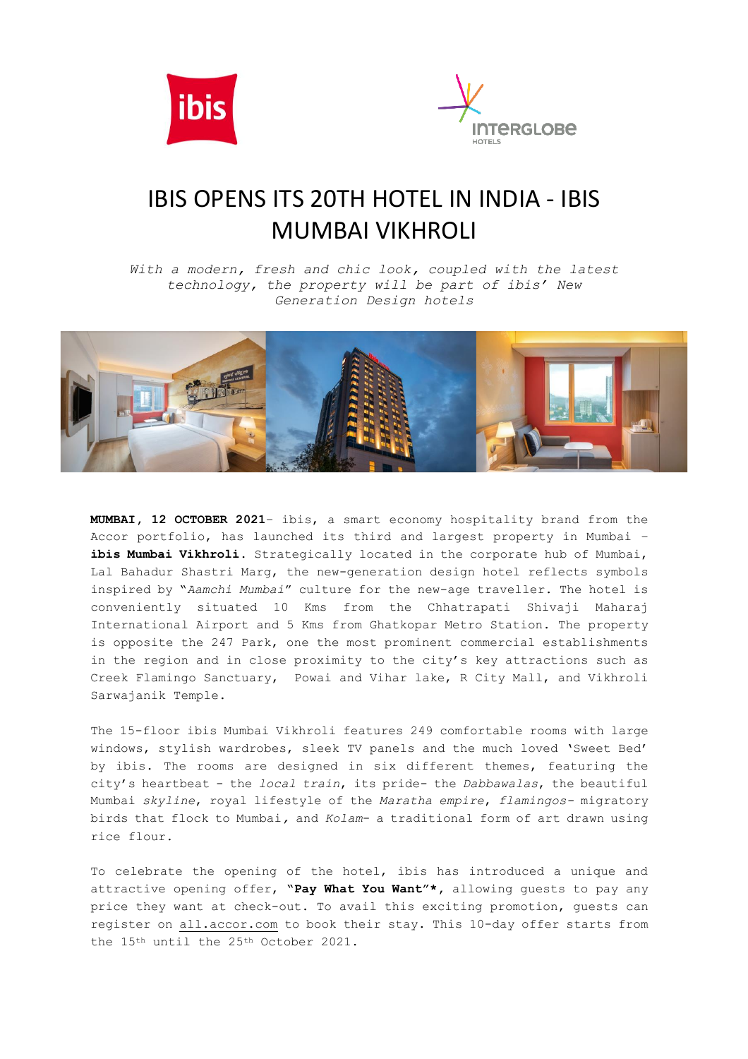



## IBIS OPENS ITS 20TH HOTEL IN INDIA - IBIS MUMBAI VIKHROLI

*With a modern, fresh and chic look, coupled with the latest technology, the property will be part of ibis' New Generation Design hotels*



cfolio, has launched its third and largest property in<br>
i Vikhroli. Strategically located in the corporate hub of<br>
in Shastri Marg, the new-generation design hotel reflects<br>
y "Aamchi Mumbai" culture for the new-age travel **MUMBAI, 12 OCTOBER 2021**– ibis, a smart economy hospitality brand from the Accor portfolio, has launched its third and largest property in Mumbai – **ibis Mumbai Vikhroli**. Strategically located in the corporate hub of Mumbai, Lal Bahadur Shastri Marg, the new-generation design hotel reflects symbols inspired by "*Aamchi Mumbai*" culture for the new-age traveller. The hotel is conveniently situated 10 Kms from the Chhatrapati Shivaji Maharaj International Airport and 5 Kms from Ghatkopar Metro Station. The property is opposite the 247 Park, one the most prominent commercial establishments in the region and in close proximity to the city's key attractions such as Creek Flamingo Sanctuary, Powai and Vihar lake, R City Mall, and Vikhroli Sarwajanik Temple.

The 15-floor ibis Mumbai Vikhroli features 249 comfortable rooms with large by ibis. The rooms are designed in six different themes, featuring the city's heartbeat - the *local train*, its pride- the *Dabbawalas*, the beautiful Mumbai *skyline,* royal lifestyle of the *Maratha empire, flamingos-* migratory windows, stylish wardrobes, sleek TV panels and the much loved 'Sweet Bed' birds that flock to Mumbai*,* and *Kolam*- a traditional form of art drawn using rice flour.

To celebrate the opening of the hotel, ibis has introduced a unique and attractive opening offer**, "Pay What You Want"\*,** allowing guests to pay any price they want at check-out. To avail this exciting promotion, guests can register on [all.accor.com](https://all.accor.com/promotions-offers/hot-deals-offers/owm014205-001-we-let-you-put-a-price-to-your-experience.en.shtml) to book their stay. This 10-day offer starts from the 15th until the 25th October 2021.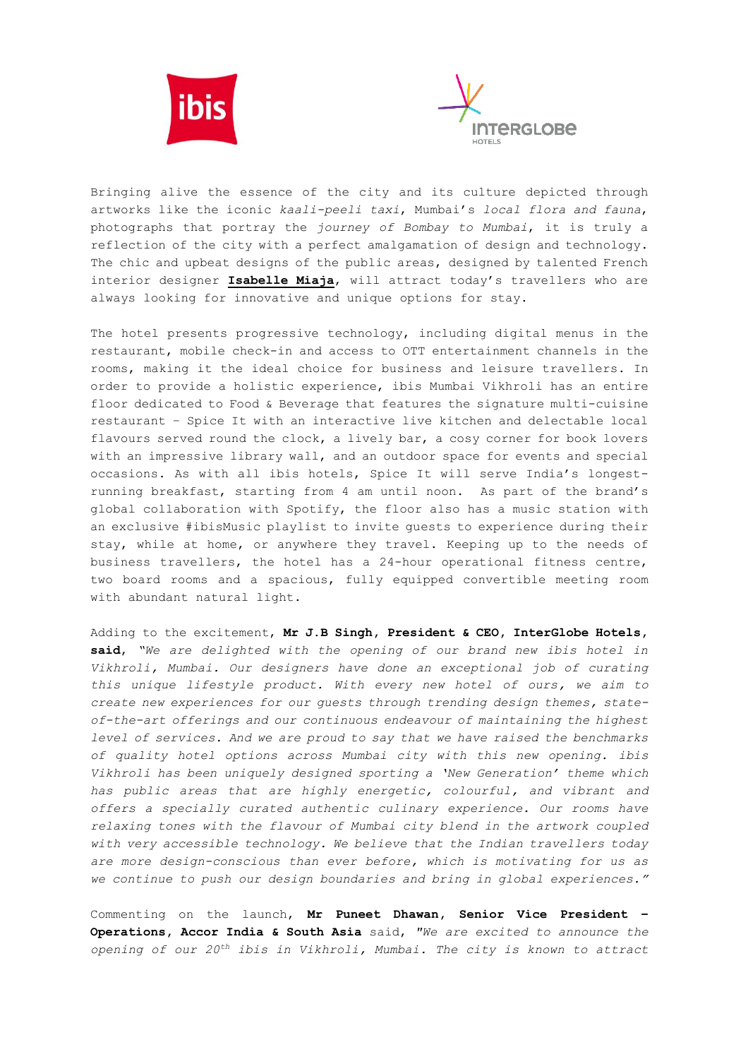



Bringing alive the essence of the city and its culture depicted through artworks like the iconic *kaali-peeli taxi*, Mumbai's *local flora and fauna*, photographs that portray the *journey of Bombay to Mumbai*, it is truly a reflection of the city with a perfect amalgamation of design and technology. The chic and upbeat designs of the public areas, designed by talented French interior designer **[Isabelle Miaja](https://www.miajadesigngroup.com/isabelle-miaja)**, will attract today's travellers who are always looking for innovative and unique options for stay.

ith an interactive live kitchen a<br>he clock, a lively bar, a cosy cor<br>ary wall, and an outdoor space for<br>ibis hotels, Spice It will serventing from 4 am until noon. As j Ve #IDISMUSIC playlist to invite guests to experience during the at home, or anywhere they travel. Keeping up to the cravellers, the hotel has a 24-hour operational fitness rooms and a spacious, fully equipped convertible The hotel presents progressive technology, including digital menus in the restaurant, mobile check-in and access to OTT entertainment channels in the rooms, making it the ideal choice for business and leisure travellers. In order to provide a holistic experience, ibis Mumbai Vikhroli has an entire floor dedicated to Food & Beverage that features the signature multi-cuisine restaurant – Spice It with an interactive live kitchen and delectable local flavours served round the clock, a lively bar, a cosy corner for book lovers with an impressive library wall, and an outdoor space for events and special occasions. As with all ibis hotels, Spice It will serve India's longestrunning breakfast, starting from 4 am until noon. As part of the brand's global collaboration with Spotify, the floor also has a music station with an exclusive #ibisMusic playlist to invite guests to experience during their stay, while at home, or anywhere they travel. Keeping up to the needs of business travellers, the hotel has a 24-hour operational fitness centre, two board rooms and a spacious, fully equipped convertible meeting room with abundant natural light.

level of services. And we are proud to say that we have raised the benchmarks *Vikhroli has been uniquely designed sporting a 'New Generation' theme which* has public areas that are highly energetic, colourful, and vibrant and ere<br>
offers a specially curated authentic culinary experience. Our rooms have with very accessible technology. We believe that the Indian travellers today are more design-conscious than ever before, which is motivating for us as we continue to push our design boundaries and bring in global experiences.<sup>"</sup> Adding to the excitement, **Mr J.B Singh, President & CEO, InterGlobe Hotels, said**, *"We are delighted with the opening of our brand new ibis hotel in Vikhroli, Mumbai. Our designers have done an exceptional job of curating this unique lifestyle product. With every new hotel of ours, we aim to create new experiences for our guests through trending design themes, stateof-the-art offerings and our continuous endeavour of maintaining the highest of quality hotel options across Mumbai city with this new opening. ibis relaxing tones with the flavour of Mumbai city blend in the artwork coupled* 

Commenting on the launch, **Mr Puneet Dhawan, Senior Vice President – Operations, Accor India & South Asia** said, *"We are excited to announce the opening of our 20th ibis in Vikhroli, Mumbai. The city is known to attract*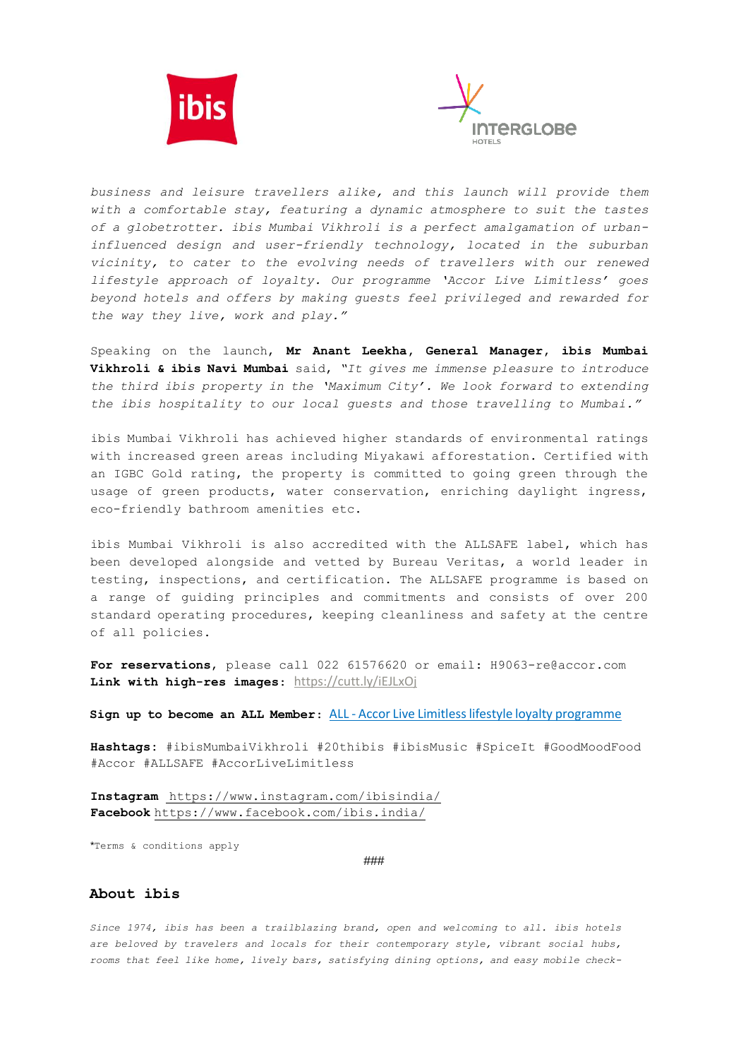



*business and leisure travellers alike, and this launch will provide them with a comfortable stay, featuring a dynamic atmosphere to suit the tastes of a globetrotter. ibis Mumbai Vikhroli is a perfect amalgamation of urbaninfluenced design and user-friendly technology, located in the suburban vicinity, to cater to the evolving needs of travellers with our renewed lifestyle approach of loyalty. Our programme 'Accor Live Limitless' goes beyond hotels and offers by making guests feel privileged and rewarded for the way they live, work and play."*

Speaking on the launch, **Mr Anant Leekha, General Manager, ibis Mumbai Vikhroli & ibis Navi Mumbai** said, *"It gives me immense pleasure to introduce the third ibis property in the 'Maximum City'. We look forward to extending the ibis hospitality to our local guests and those travelling to Mumbai."*

s achieved higher standards of en<br>eas including Miyakawi afforestat<br>ne property is committed to going<br>s, water conservation, enriching ibis Mumbai Vikhroli has achieved higher standards of environmental ratings with increased green areas including Miyakawi afforestation. Certified with an IGBC Gold rating, the property is committed to going green through the usage of green products, water conservation, enriching daylight ingress, eco-friendly bathroom amenities etc.

i Vikhroli is also accredited with the ALLSAFE label, w<br>loped alongside and vetted by Bureau Veritas, a world l<br>nspections, and certification. The ALLSAFE programme is<br>f guiding principles and commitments and consists of ibis Mumbai Vikhroli is also accredited with the ALLSAFE label, which has been developed alongside and vetted by Bureau Veritas, a world leader in testing, inspections, and certification. The ALLSAFE programme is based on a range of guiding principles and commitments and consists of over 200 standard operating procedures, keeping cleanliness and safety at the centre of all policies.

**For reservations**, please call 022 61576620 or email: H9063-re@accor.com **Link with high-res images**: <https://cutt.ly/iEJLxOj>

**Sign up to become an ALL Member**: ALL - [Accor Live Limitless lifestyle loyalty programme](https://all.accor.com/loyalty-program/reasonstojoin/index.en.shtml)

**Accor Brands Media Relations Agence Le Public Système PR Hashtags:** #ibisMumbaiVikhroli #20thibis #ibisMusic #SpiceIt #GoodMoodFood Charlotte Escande #Accor #ALLSAFE #AccorLiveLimitless

 $\frac{3}{3}$  1  $\frac{3}{3}$  38  $\frac{3}{3}$  38  $\frac{3}{3}$  38  $\frac{3}{3}$ agram <u>neeps://www.inst</u> +33 1 41 34 23 83 **Instagram** <https://www.instagram.com/ibisindia/>  $\frac{\ln(\text{u1a})}{\ln(\text{u1a})}$ **Facebook** <https://www.facebook.com/ibis.india/>

\*Terms & conditions apply the same of the same of the Sous-

###

## **About ibis**

*Since 1974, ibis has been a trailblazing brand, open and welcoming to all. ibis hotels are beloved by travelers and locals for their contemporary style, vibrant social hubs, rooms that feel like home, lively bars, satisfying dining options, and easy mobile check-*